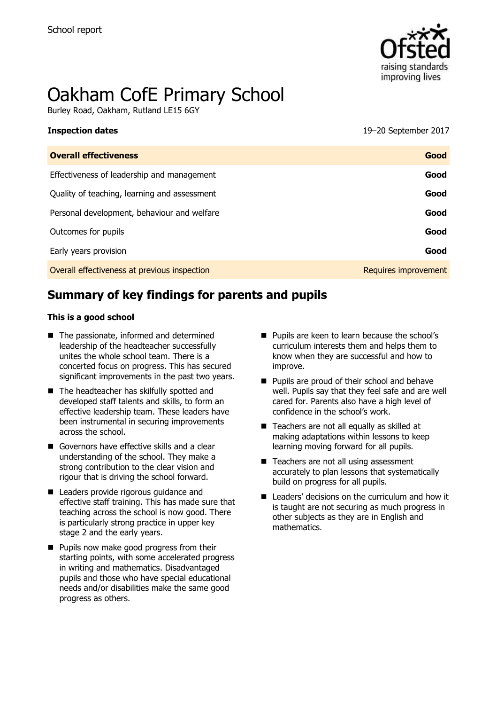

# Oakham CofE Primary School

Burley Road, Oakham, Rutland LE15 6GY

**Inspection dates** 19–20 September 2017

| <b>Overall effectiveness</b>                 | Good                 |
|----------------------------------------------|----------------------|
| Effectiveness of leadership and management   | Good                 |
| Quality of teaching, learning and assessment | Good                 |
| Personal development, behaviour and welfare  | Good                 |
| Outcomes for pupils                          | Good                 |
| Early years provision                        | Good                 |
| Overall effectiveness at previous inspection | Requires improvement |

# **Summary of key findings for parents and pupils**

### **This is a good school**

- The passionate, informed and determined leadership of the headteacher successfully unites the whole school team. There is a concerted focus on progress. This has secured significant improvements in the past two years.
- The headteacher has skilfully spotted and developed staff talents and skills, to form an effective leadership team. These leaders have been instrumental in securing improvements across the school.
- Governors have effective skills and a clear understanding of the school. They make a strong contribution to the clear vision and rigour that is driving the school forward.
- Leaders provide rigorous guidance and effective staff training. This has made sure that teaching across the school is now good. There is particularly strong practice in upper key stage 2 and the early years.
- **Pupils now make good progress from their** starting points, with some accelerated progress in writing and mathematics. Disadvantaged pupils and those who have special educational needs and/or disabilities make the same good progress as others.

- **Pupils are keen to learn because the school's** curriculum interests them and helps them to know when they are successful and how to improve.
- **Pupils are proud of their school and behave** well. Pupils say that they feel safe and are well cared for. Parents also have a high level of confidence in the school's work.
- Teachers are not all equally as skilled at making adaptations within lessons to keep learning moving forward for all pupils.
- Teachers are not all using assessment accurately to plan lessons that systematically build on progress for all pupils.
- Leaders' decisions on the curriculum and how it is taught are not securing as much progress in other subjects as they are in English and mathematics.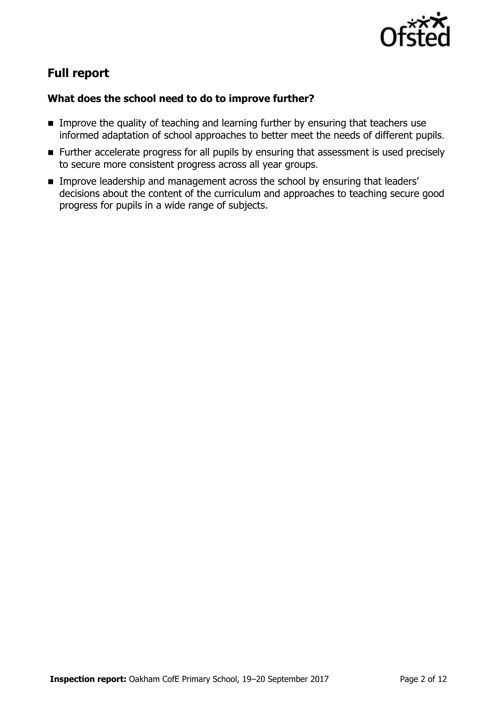

# **Full report**

### **What does the school need to do to improve further?**

- **IMPROVE the quality of teaching and learning further by ensuring that teachers use** informed adaptation of school approaches to better meet the needs of different pupils.
- **Further accelerate progress for all pupils by ensuring that assessment is used precisely** to secure more consistent progress across all year groups.
- **IMPROVE LEADERSHIP and management across the school by ensuring that leaders'** decisions about the content of the curriculum and approaches to teaching secure good progress for pupils in a wide range of subjects.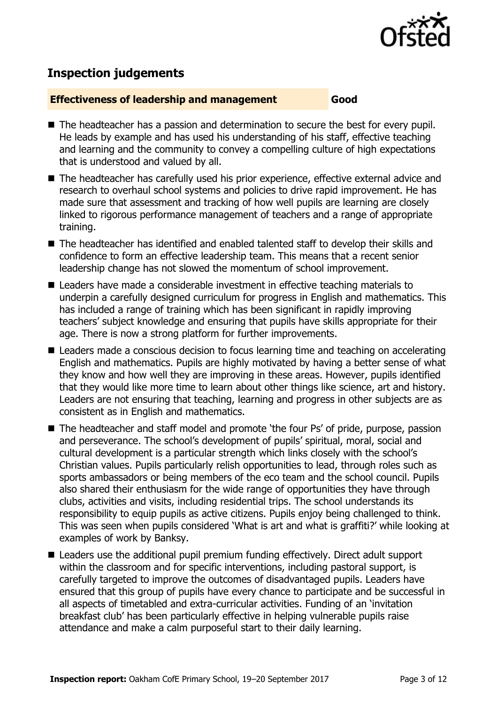

# **Inspection judgements**

### **Effectiveness of leadership and management Good**

- The headteacher has a passion and determination to secure the best for every pupil. He leads by example and has used his understanding of his staff, effective teaching and learning and the community to convey a compelling culture of high expectations that is understood and valued by all.
- The headteacher has carefully used his prior experience, effective external advice and research to overhaul school systems and policies to drive rapid improvement. He has made sure that assessment and tracking of how well pupils are learning are closely linked to rigorous performance management of teachers and a range of appropriate training.
- The headteacher has identified and enabled talented staff to develop their skills and confidence to form an effective leadership team. This means that a recent senior leadership change has not slowed the momentum of school improvement.
- Leaders have made a considerable investment in effective teaching materials to underpin a carefully designed curriculum for progress in English and mathematics. This has included a range of training which has been significant in rapidly improving teachers' subject knowledge and ensuring that pupils have skills appropriate for their age. There is now a strong platform for further improvements.
- Leaders made a conscious decision to focus learning time and teaching on accelerating English and mathematics. Pupils are highly motivated by having a better sense of what they know and how well they are improving in these areas. However, pupils identified that they would like more time to learn about other things like science, art and history. Leaders are not ensuring that teaching, learning and progress in other subjects are as consistent as in English and mathematics.
- The headteacher and staff model and promote 'the four Ps' of pride, purpose, passion and perseverance. The school's development of pupils' spiritual, moral, social and cultural development is a particular strength which links closely with the school's Christian values. Pupils particularly relish opportunities to lead, through roles such as sports ambassadors or being members of the eco team and the school council. Pupils also shared their enthusiasm for the wide range of opportunities they have through clubs, activities and visits, including residential trips. The school understands its responsibility to equip pupils as active citizens. Pupils enjoy being challenged to think. This was seen when pupils considered 'What is art and what is graffiti?' while looking at examples of work by Banksy.
- Leaders use the additional pupil premium funding effectively. Direct adult support within the classroom and for specific interventions, including pastoral support, is carefully targeted to improve the outcomes of disadvantaged pupils. Leaders have ensured that this group of pupils have every chance to participate and be successful in all aspects of timetabled and extra-curricular activities. Funding of an 'invitation breakfast club' has been particularly effective in helping vulnerable pupils raise attendance and make a calm purposeful start to their daily learning.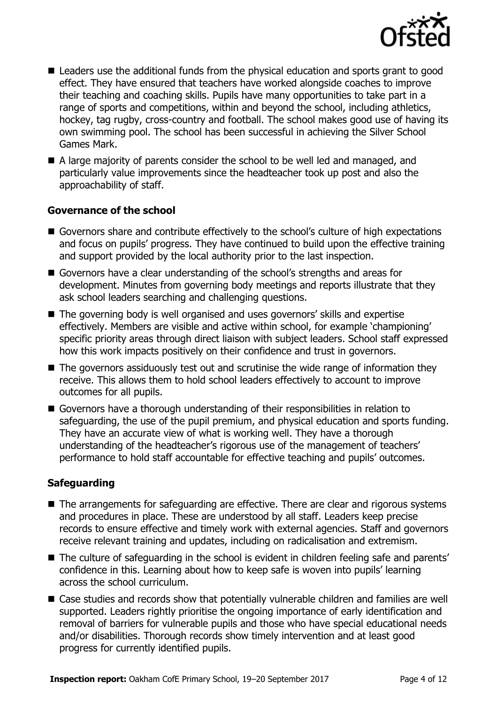

- Leaders use the additional funds from the physical education and sports grant to good effect. They have ensured that teachers have worked alongside coaches to improve their teaching and coaching skills. Pupils have many opportunities to take part in a range of sports and competitions, within and beyond the school, including athletics, hockey, tag rugby, cross-country and football. The school makes good use of having its own swimming pool. The school has been successful in achieving the Silver School Games Mark.
- A large majority of parents consider the school to be well led and managed, and particularly value improvements since the headteacher took up post and also the approachability of staff.

### **Governance of the school**

- Governors share and contribute effectively to the school's culture of high expectations and focus on pupils' progress. They have continued to build upon the effective training and support provided by the local authority prior to the last inspection.
- Governors have a clear understanding of the school's strengths and areas for development. Minutes from governing body meetings and reports illustrate that they ask school leaders searching and challenging questions.
- The governing body is well organised and uses governors' skills and expertise effectively. Members are visible and active within school, for example 'championing' specific priority areas through direct liaison with subject leaders. School staff expressed how this work impacts positively on their confidence and trust in governors.
- The governors assiduously test out and scrutinise the wide range of information they receive. This allows them to hold school leaders effectively to account to improve outcomes for all pupils.
- Governors have a thorough understanding of their responsibilities in relation to safeguarding, the use of the pupil premium, and physical education and sports funding. They have an accurate view of what is working well. They have a thorough understanding of the headteacher's rigorous use of the management of teachers' performance to hold staff accountable for effective teaching and pupils' outcomes.

### **Safeguarding**

- The arrangements for safeguarding are effective. There are clear and rigorous systems and procedures in place. These are understood by all staff. Leaders keep precise records to ensure effective and timely work with external agencies. Staff and governors receive relevant training and updates, including on radicalisation and extremism.
- The culture of safeguarding in the school is evident in children feeling safe and parents' confidence in this. Learning about how to keep safe is woven into pupils' learning across the school curriculum.
- Case studies and records show that potentially vulnerable children and families are well supported. Leaders rightly prioritise the ongoing importance of early identification and removal of barriers for vulnerable pupils and those who have special educational needs and/or disabilities. Thorough records show timely intervention and at least good progress for currently identified pupils.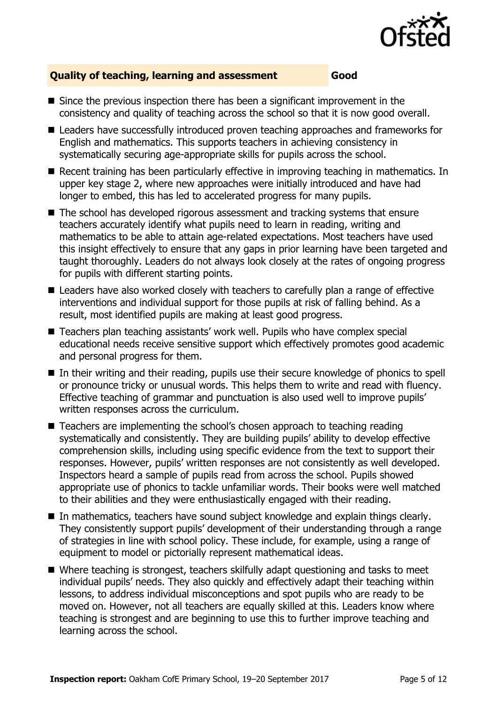

### **Quality of teaching, learning and assessment Good**

- $\blacksquare$  Since the previous inspection there has been a significant improvement in the consistency and quality of teaching across the school so that it is now good overall.
- Leaders have successfully introduced proven teaching approaches and frameworks for English and mathematics. This supports teachers in achieving consistency in systematically securing age-appropriate skills for pupils across the school.
- Recent training has been particularly effective in improving teaching in mathematics. In upper key stage 2, where new approaches were initially introduced and have had longer to embed, this has led to accelerated progress for many pupils.
- The school has developed rigorous assessment and tracking systems that ensure teachers accurately identify what pupils need to learn in reading, writing and mathematics to be able to attain age-related expectations. Most teachers have used this insight effectively to ensure that any gaps in prior learning have been targeted and taught thoroughly. Leaders do not always look closely at the rates of ongoing progress for pupils with different starting points.
- Leaders have also worked closely with teachers to carefully plan a range of effective interventions and individual support for those pupils at risk of falling behind. As a result, most identified pupils are making at least good progress.
- Teachers plan teaching assistants' work well. Pupils who have complex special educational needs receive sensitive support which effectively promotes good academic and personal progress for them.
- In their writing and their reading, pupils use their secure knowledge of phonics to spell or pronounce tricky or unusual words. This helps them to write and read with fluency. Effective teaching of grammar and punctuation is also used well to improve pupils' written responses across the curriculum.
- Teachers are implementing the school's chosen approach to teaching reading systematically and consistently. They are building pupils' ability to develop effective comprehension skills, including using specific evidence from the text to support their responses. However, pupils' written responses are not consistently as well developed. Inspectors heard a sample of pupils read from across the school. Pupils showed appropriate use of phonics to tackle unfamiliar words. Their books were well matched to their abilities and they were enthusiastically engaged with their reading.
- In mathematics, teachers have sound subject knowledge and explain things clearly. They consistently support pupils' development of their understanding through a range of strategies in line with school policy. These include, for example, using a range of equipment to model or pictorially represent mathematical ideas.
- Where teaching is strongest, teachers skilfully adapt questioning and tasks to meet individual pupils' needs. They also quickly and effectively adapt their teaching within lessons, to address individual misconceptions and spot pupils who are ready to be moved on. However, not all teachers are equally skilled at this. Leaders know where teaching is strongest and are beginning to use this to further improve teaching and learning across the school.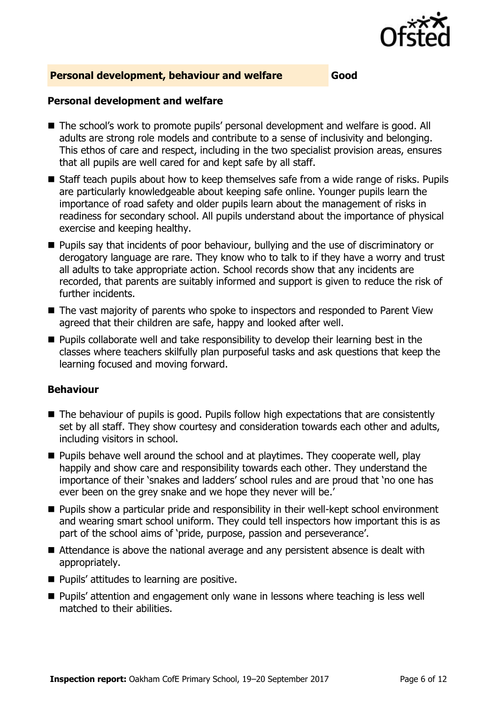

### **Personal development, behaviour and welfare Good**

### **Personal development and welfare**

- The school's work to promote pupils' personal development and welfare is good. All adults are strong role models and contribute to a sense of inclusivity and belonging. This ethos of care and respect, including in the two specialist provision areas, ensures that all pupils are well cared for and kept safe by all staff.
- Staff teach pupils about how to keep themselves safe from a wide range of risks. Pupils are particularly knowledgeable about keeping safe online. Younger pupils learn the importance of road safety and older pupils learn about the management of risks in readiness for secondary school. All pupils understand about the importance of physical exercise and keeping healthy.
- **Pupils say that incidents of poor behaviour, bullying and the use of discriminatory or** derogatory language are rare. They know who to talk to if they have a worry and trust all adults to take appropriate action. School records show that any incidents are recorded, that parents are suitably informed and support is given to reduce the risk of further incidents.
- The vast majority of parents who spoke to inspectors and responded to Parent View agreed that their children are safe, happy and looked after well.
- **Pupils collaborate well and take responsibility to develop their learning best in the** classes where teachers skilfully plan purposeful tasks and ask questions that keep the learning focused and moving forward.

### **Behaviour**

- The behaviour of pupils is good. Pupils follow high expectations that are consistently set by all staff. They show courtesy and consideration towards each other and adults, including visitors in school.
- **Pupils behave well around the school and at playtimes. They cooperate well, play** happily and show care and responsibility towards each other. They understand the importance of their 'snakes and ladders' school rules and are proud that 'no one has ever been on the grey snake and we hope they never will be.'
- **Pupils show a particular pride and responsibility in their well-kept school environment** and wearing smart school uniform. They could tell inspectors how important this is as part of the school aims of 'pride, purpose, passion and perseverance'.
- Attendance is above the national average and any persistent absence is dealt with appropriately.
- **Pupils' attitudes to learning are positive.**
- Pupils' attention and engagement only wane in lessons where teaching is less well matched to their abilities.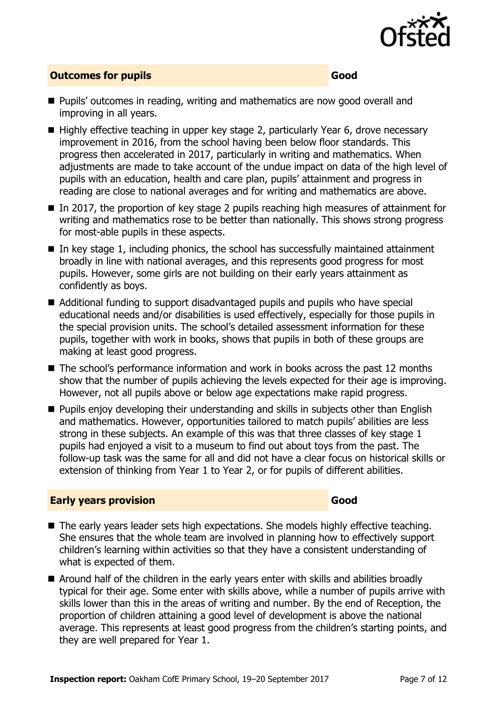

### **Outcomes for pupils Good**

- **Pupils'** outcomes in reading, writing and mathematics are now good overall and improving in all years.
- Highly effective teaching in upper key stage 2, particularly Year 6, drove necessary improvement in 2016, from the school having been below floor standards. This progress then accelerated in 2017, particularly in writing and mathematics. When adjustments are made to take account of the undue impact on data of the high level of pupils with an education, health and care plan, pupils' attainment and progress in reading are close to national averages and for writing and mathematics are above.
- In 2017, the proportion of key stage 2 pupils reaching high measures of attainment for writing and mathematics rose to be better than nationally. This shows strong progress for most-able pupils in these aspects.
- $\blacksquare$  In key stage 1, including phonics, the school has successfully maintained attainment broadly in line with national averages, and this represents good progress for most pupils. However, some girls are not building on their early years attainment as confidently as boys.
- Additional funding to support disadvantaged pupils and pupils who have special educational needs and/or disabilities is used effectively, especially for those pupils in the special provision units. The school's detailed assessment information for these pupils, together with work in books, shows that pupils in both of these groups are making at least good progress.
- The school's performance information and work in books across the past 12 months show that the number of pupils achieving the levels expected for their age is improving. However, not all pupils above or below age expectations make rapid progress.
- **Pupils enjoy developing their understanding and skills in subjects other than English** and mathematics. However, opportunities tailored to match pupils' abilities are less strong in these subjects. An example of this was that three classes of key stage 1 pupils had enjoyed a visit to a museum to find out about toys from the past. The follow-up task was the same for all and did not have a clear focus on historical skills or extension of thinking from Year 1 to Year 2, or for pupils of different abilities.

### **Early years provision Good**

- The early years leader sets high expectations. She models highly effective teaching. She ensures that the whole team are involved in planning how to effectively support children's learning within activities so that they have a consistent understanding of what is expected of them.
- Around half of the children in the early years enter with skills and abilities broadly typical for their age. Some enter with skills above, while a number of pupils arrive with skills lower than this in the areas of writing and number. By the end of Reception, the proportion of children attaining a good level of development is above the national average. This represents at least good progress from the children's starting points, and they are well prepared for Year 1.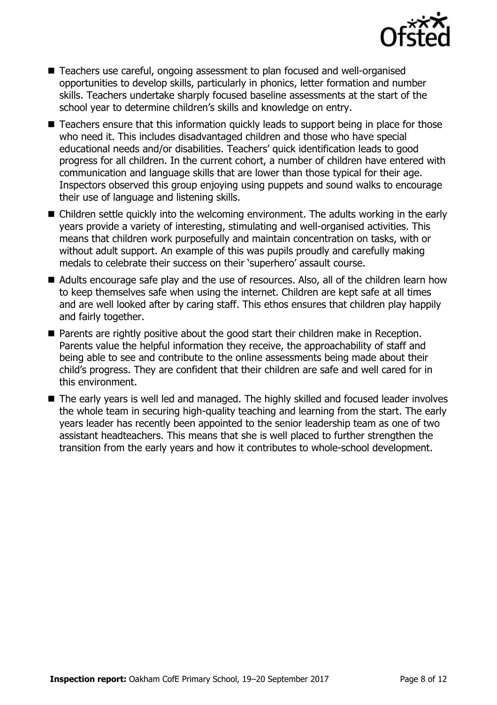

- Teachers use careful, ongoing assessment to plan focused and well-organised opportunities to develop skills, particularly in phonics, letter formation and number skills. Teachers undertake sharply focused baseline assessments at the start of the school year to determine children's skills and knowledge on entry.
- Teachers ensure that this information quickly leads to support being in place for those who need it. This includes disadvantaged children and those who have special educational needs and/or disabilities. Teachers' quick identification leads to good progress for all children. In the current cohort, a number of children have entered with communication and language skills that are lower than those typical for their age. Inspectors observed this group enjoying using puppets and sound walks to encourage their use of language and listening skills.
- Children settle quickly into the welcoming environment. The adults working in the early years provide a variety of interesting, stimulating and well-organised activities. This means that children work purposefully and maintain concentration on tasks, with or without adult support. An example of this was pupils proudly and carefully making medals to celebrate their success on their 'superhero' assault course.
- Adults encourage safe play and the use of resources. Also, all of the children learn how to keep themselves safe when using the internet. Children are kept safe at all times and are well looked after by caring staff. This ethos ensures that children play happily and fairly together.
- **Parents are rightly positive about the good start their children make in Reception.** Parents value the helpful information they receive, the approachability of staff and being able to see and contribute to the online assessments being made about their child's progress. They are confident that their children are safe and well cared for in this environment.
- The early years is well led and managed. The highly skilled and focused leader involves the whole team in securing high-quality teaching and learning from the start. The early years leader has recently been appointed to the senior leadership team as one of two assistant headteachers. This means that she is well placed to further strengthen the transition from the early years and how it contributes to whole-school development.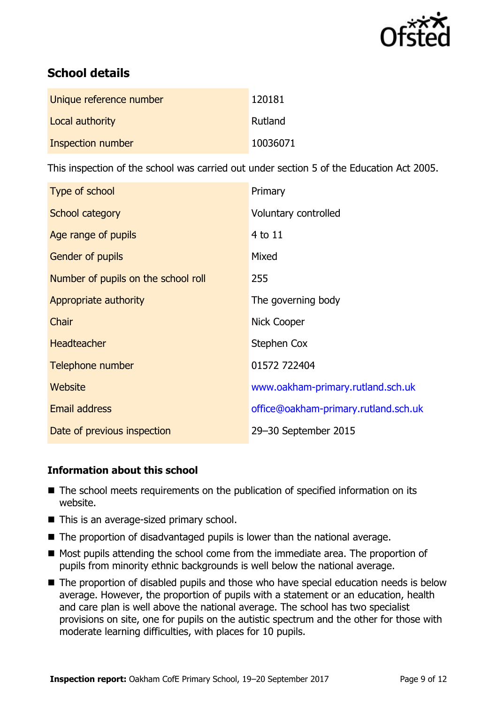

# **School details**

| Unique reference number | 120181   |
|-------------------------|----------|
| Local authority         | Rutland  |
| Inspection number       | 10036071 |

This inspection of the school was carried out under section 5 of the Education Act 2005.

| Type of school                      | Primary                              |
|-------------------------------------|--------------------------------------|
| School category                     | Voluntary controlled                 |
| Age range of pupils                 | 4 to 11                              |
| <b>Gender of pupils</b>             | Mixed                                |
| Number of pupils on the school roll | 255                                  |
| Appropriate authority               | The governing body                   |
| Chair                               | Nick Cooper                          |
| <b>Headteacher</b>                  | Stephen Cox                          |
| Telephone number                    | 01572 722404                         |
| <b>Website</b>                      | www.oakham-primary.rutland.sch.uk    |
| Email address                       | office@oakham-primary.rutland.sch.uk |
| Date of previous inspection         | 29-30 September 2015                 |

### **Information about this school**

- The school meets requirements on the publication of specified information on its website.
- This is an average-sized primary school.
- The proportion of disadvantaged pupils is lower than the national average.
- $\blacksquare$  Most pupils attending the school come from the immediate area. The proportion of pupils from minority ethnic backgrounds is well below the national average.
- The proportion of disabled pupils and those who have special education needs is below average. However, the proportion of pupils with a statement or an education, health and care plan is well above the national average. The school has two specialist provisions on site, one for pupils on the autistic spectrum and the other for those with moderate learning difficulties, with places for 10 pupils.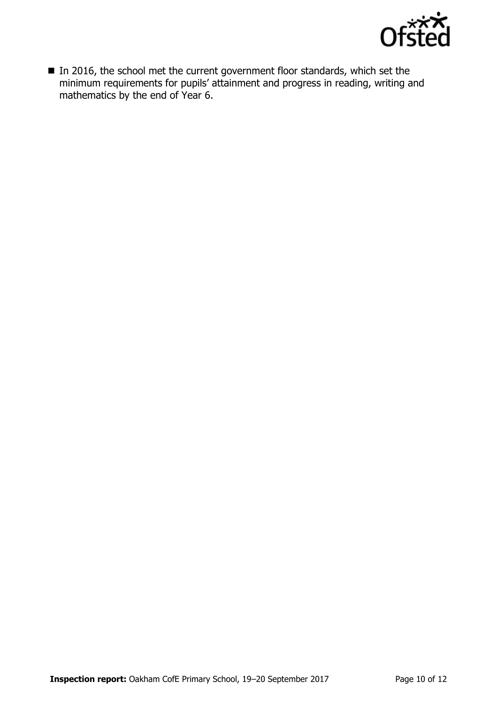

In 2016, the school met the current government floor standards, which set the minimum requirements for pupils' attainment and progress in reading, writing and mathematics by the end of Year 6.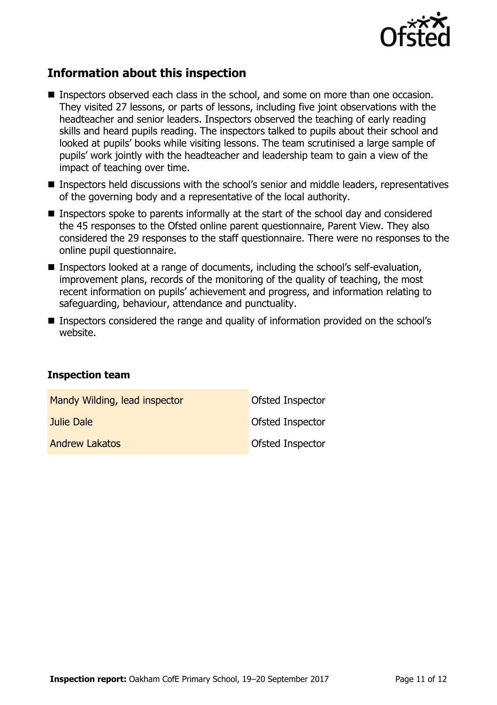

## **Information about this inspection**

- Inspectors observed each class in the school, and some on more than one occasion. They visited 27 lessons, or parts of lessons, including five joint observations with the headteacher and senior leaders. Inspectors observed the teaching of early reading skills and heard pupils reading. The inspectors talked to pupils about their school and looked at pupils' books while visiting lessons. The team scrutinised a large sample of pupils' work jointly with the headteacher and leadership team to gain a view of the impact of teaching over time.
- Inspectors held discussions with the school's senior and middle leaders, representatives of the governing body and a representative of the local authority.
- Inspectors spoke to parents informally at the start of the school day and considered the 45 responses to the Ofsted online parent questionnaire, Parent View. They also considered the 29 responses to the staff questionnaire. There were no responses to the online pupil questionnaire.
- Inspectors looked at a range of documents, including the school's self-evaluation, improvement plans, records of the monitoring of the quality of teaching, the most recent information on pupils' achievement and progress, and information relating to safeguarding, behaviour, attendance and punctuality.
- Inspectors considered the range and quality of information provided on the school's website.

### **Inspection team**

| Mandy Wilding, lead inspector | Ofsted Inspector        |
|-------------------------------|-------------------------|
| Julie Dale                    | Ofsted Inspector        |
| <b>Andrew Lakatos</b>         | <b>Ofsted Inspector</b> |